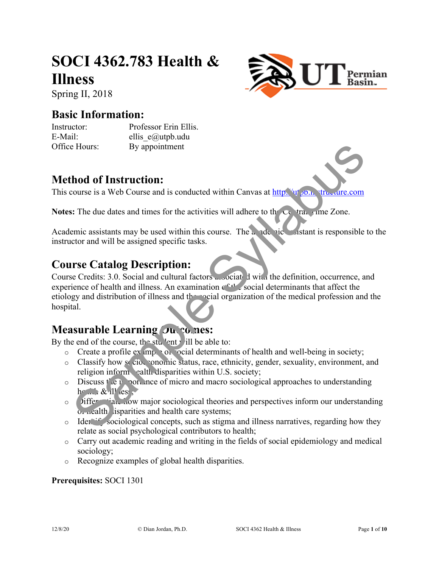# **SOCI 4362.783 Health & Illness**





#### **Basic Information:**

Instructor: Professor Erin Ellis. E-Mail: ellis e@utpb.udu Office Hours: By appointment

### **Method of Instruction:**

This course is a Web Course and is conducted within Canvas at  $http://u+v.b.n. stru.uire.com$ 

**Notes:** The due dates and times for the activities will adhere to the Central Time Zone.

Academic assistants may be used within this course. The academic assistant is responsible to the instructor and will be assigned specific tasks.

### **Course Catalog Description:**

Course Credits: 3.0. Social and cultural factors associated with the definition, occurrence, and experience of health and illness. An examination  $c^{c+1}$  social determinants that affect the etiology and distribution of illness and the social organization of the medical profession and the hospital. **Hours:**<br>
By appointment<br> **hod of Instruction:**<br>
Source is a Web Course and is conducted within Canvas at http://www.as-<br>
IF the due dates and times for the activities will adhere to the Course.<br>
The due dates and times f

### **Measurable Learning Outcomes:**

By the end of the course, the student will be able to:

- $\circ$  Create a profile ex  $mp \cdot o_1$  ocial determinants of health and well-being in society;
- o Classify how socioeconomic status, race, ethnicity, gender, sexuality, environment, and religion inform ealth disparities within U.S. society;
- $\circ$  Discuss  $\vec{r}$  of  $\vec{r}$  from  $\vec{r}$  of micro and macro sociological approaches to understanding  $h \in \mathbb{R} \times \mathbb{R}$  ill  $es$ ;
- o Differential how major sociological theories and perspectives inform our understanding of health isparities and health care systems;
- o Identify sociological concepts, such as stigma and illness narratives, regarding how they relate as social psychological contributors to health;
- o Carry out academic reading and writing in the fields of social epidemiology and medical sociology;
- o Recognize examples of global health disparities.

#### **Prerequisites:** SOCI 1301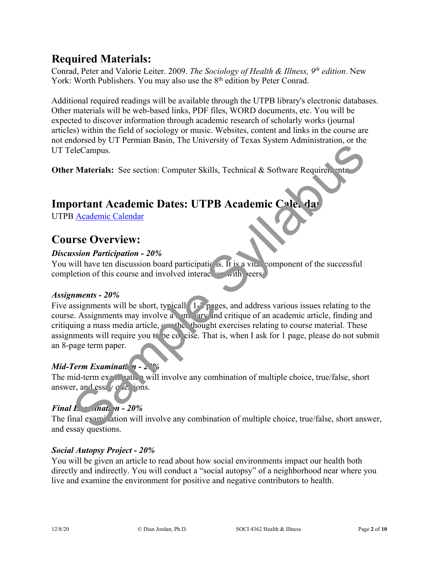### **Required Materials:**

Conrad, Peter and Valorie Leiter. 2009. *The Sociology of Health & Illness, 9th edition*. New York: Worth Publishers. You may also use the 8<sup>th</sup> edition by Peter Conrad.

Additional required readings will be available through the UTPB library's electronic databases. Other materials will be web-based links, PDF files, WORD documents, etc. You will be expected to discover information through academic research of scholarly works (journal articles) within the field of sociology or music. Websites, content and links in the course are not endorsed by UT Permian Basin, The University of Texas System Administration, or the UT TeleCampus.

**Other Materials:** See section: Computer Skills, Technical & Software Requirements

# **Important Academic Dates: UTPB Academic Cale, dar**

UTPB Academic Calendar

### **Course Overview:**

#### *Discussion Participation - 20%*

You will have ten discussion board participations. It is a vital component of the successful completion of this course and involved interaction with peers.

#### *Assignments - 20%*

Five assignments will be short, typicall  $(1 - \rho)$  pages, and address various issues relating to the course. Assignments may involve a summary and critique of an academic article, finding and critiquing a mass media article,  $\epsilon$  the thought exercises relating to course material. These assignments will require you to be concise. That is, when I ask for 1 page, please do not submit an 8-page term paper. **EXECUTE Syllabuse Syllabuse Syllabuse Syllabuse Syllabuse Syllabuse Syllabuse Syllabuse Syllabuse Syllabuse Syllabuse Syllabuse Syllabuse Syllabuse Syllabuse Syllabuse Syllabuse Syllabuse Syllabuse Syllabuse Syllabuse Sy** 

#### *Mid-Term Examination - 20%*

The mid-term example at will involve any combination of multiple choice, true/false, short answer, and essay  $q \propto \text{e}$  ions.

#### *Final E<sub><i>xmation - 20%*</sub>

The final examination will involve any combination of multiple choice, true/false, short answer, and essay questions.

#### *Social Autopsy Project - 20%*

You will be given an article to read about how social environments impact our health both directly and indirectly. You will conduct a "social autopsy" of a neighborhood near where you live and examine the environment for positive and negative contributors to health.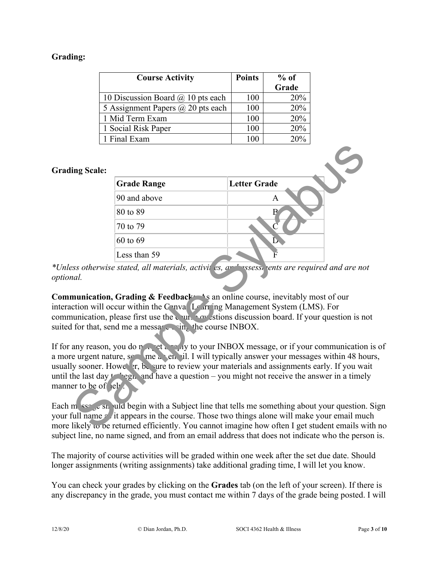#### **Grading:**

| <b>Course Activity</b>                   | <b>Points</b> | $%$ of |
|------------------------------------------|---------------|--------|
|                                          |               | Grade  |
| 10 Discussion Board $\omega$ 10 pts each | 100           | 20%    |
| 5 Assignment Papers @ 20 pts each        | 100           | 20%    |
| 1 Mid Term Exam                          | 100           | 20%    |
| 1 Social Risk Paper                      | 100           | 20%    |
| 1 Final Exam                             | 100           | 20%    |

#### **Grading Scale:**

| ing Scale:       |                                                           |                                                                                                                                                                                                                                                                                                                                                                           |
|------------------|-----------------------------------------------------------|---------------------------------------------------------------------------------------------------------------------------------------------------------------------------------------------------------------------------------------------------------------------------------------------------------------------------------------------------------------------------|
|                  | <b>Grade Range</b>                                        | <b>Letter Grade</b>                                                                                                                                                                                                                                                                                                                                                       |
|                  | 90 and above                                              | A                                                                                                                                                                                                                                                                                                                                                                         |
|                  | 80 to 89                                                  | $\mathbf{B}$                                                                                                                                                                                                                                                                                                                                                              |
|                  | 70 to 79                                                  |                                                                                                                                                                                                                                                                                                                                                                           |
|                  | 60 to 69                                                  |                                                                                                                                                                                                                                                                                                                                                                           |
|                  | Less than 59                                              |                                                                                                                                                                                                                                                                                                                                                                           |
| ial.             | If for that, send me a message $\sin_k$ the course INBOX. | munication, Grading & Feedback As an online course, inevitably most of our<br>ction will occur within the Canva Learring Management System (LMS). For<br>nunication, please first use the $\sqrt{u}$ $\sim$ stions discussion board. If your question is no                                                                                                               |
| er to be of lel. |                                                           | any reason, you do not be the many to your INBOX message, or if your communication<br>e urgent nature, set me a en il. I will typically answer your messages within 48 ho<br>ly sooner. Howe Fr, be sure to review your materials and assignments early. If you wa<br>the last day $t \rightarrow$ egh, and have a question – you might not receive the answer in a timel |
|                  |                                                           | $\mathbf{m}$ sse s and $\mathbf{u}$ and begin with a Subject line that tells me something about your question.<br>full name $\epsilon'$ it appears in the course. Those two things alone will make your email mu<br>likely to be returned efficiently. You cannot imagine how often I get student emails w                                                                |

\*Unless otherwise stated, all materials, activities, and assessments are required and are not *optional.*

**Communication, Grading & Feedback:** As an online course, inevitably most of our interaction will occur within the Canval Learning Management System (LMS). For communication, please first use the course  $\alpha v$  stions discussion board. If your question is not suited for that, send me a message wing the course INBOX.

If for any reason, you do not get a reply to your INBOX message, or if your communication is of a more urgent nature,  $s_{\text{max}}$  me an email. I will typically answer your messages within 48 hours, usually sooner. However, be sure to review your materials and assignments early. If you wait until the last day  $t \log n$ , and have a question – you might not receive the answer in a timely manner to be of lelp.

Each message should begin with a Subject line that tells me something about your question. Sign your full name  $\epsilon$  it appears in the course. Those two things alone will make your email much more likely  $\omega$  be returned efficiently. You cannot imagine how often I get student emails with no subject line, no name signed, and from an email address that does not indicate who the person is.

The majority of course activities will be graded within one week after the set due date. Should longer assignments (writing assignments) take additional grading time, I will let you know.

You can check your grades by clicking on the **Grades** tab (on the left of your screen). If there is any discrepancy in the grade, you must contact me within 7 days of the grade being posted. I will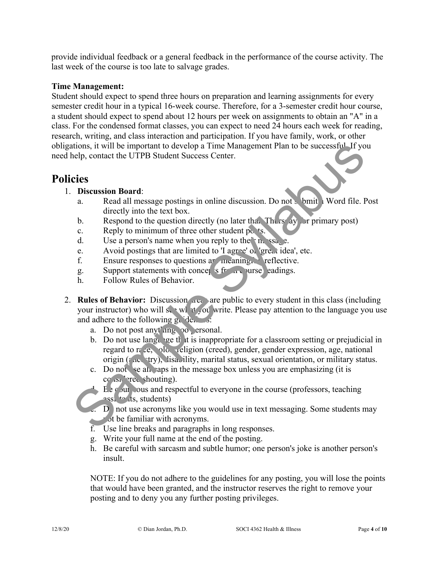provide individual feedback or a general feedback in the performance of the course activity. The last week of the course is too late to salvage grades.

#### **Time Management:**

Student should expect to spend three hours on preparation and learning assignments for every semester credit hour in a typical 16-week course. Therefore, for a 3-semester credit hour course, a student should expect to spend about 12 hours per week on assignments to obtain an "A" in a class. For the condensed format classes, you can expect to need 24 hours each week for reading, research, writing, and class interaction and participation. If you have family, work, or other obligations, it will be important to develop a Time Management Plan to be successful. If you need help, contact the UTPB Student Success Center.

### **Policies**

- 1. **Discussion Board**:
	- a. Read all message postings in online discussion. Do not submit Word file. Post directly into the text box.
	- b. Respond to the question directly (no later that Thursday for primary post)
	- c. Reply to minimum of three other student posts.
	- d. Use a person's name when you reply to the  $\ln \text{sgn}$ .
	- e. Avoid postings that are limited to 'I agree' on 'great idea', etc.
	- f. Ensure responses to questions are meaning. reflective.
	- g. Support statements with concept s from course eadings.
	- h. Follow Rules of Behavior.
- 2. **Rules of Behavior:** Discussion areas are public to every student in this class (including your instructor) who will see what you write. Please pay attention to the language you use and adhere to the following  $g_{\mu}$  defines: tions, it will be important to develop a Time Management Plan to be successful If yo<br>
chelp, contact the UTPB Student Success Center.<br> **Sample Sylladent Success Center.**<br> **Sample Syllabuse Syllapuble Syllapuble Syllapuble** 
	- a. Do not post anyt<sup>h</sup>ing to personal.
	- b. Do not use language that is inappropriate for a classroom setting or prejudicial in regard to  $r \in \mathcal{E}$ , ologically religion (creed), gender, gender expression, age, national origin (ancestry), lisability, marital status, sexual orientation, or military status.
	- c. Do not se all caps in the message box unless you are emphasizing (it is  $cc$  is  $\text{er}$  shouting).
	- $\overline{B}$  equal the course (professors, teaching  $\overline{B}$ ) by an argument of the course (professors, teaching assi $\frac{1}{2}$  to its, students)
	- D not use acronyms like you would use in text messaging. Some students may  $\sum$  ot be familiar with acronyms.
	- f. Use line breaks and paragraphs in long responses.
	- g. Write your full name at the end of the posting.
	- h. Be careful with sarcasm and subtle humor; one person's joke is another person's insult.

NOTE: If you do not adhere to the guidelines for any posting, you will lose the points that would have been granted, and the instructor reserves the right to remove your posting and to deny you any further posting privileges.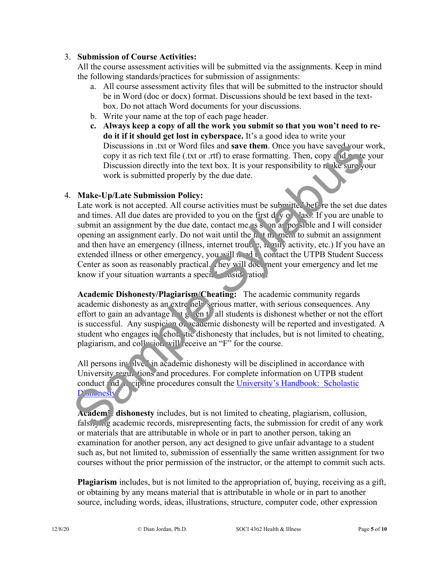#### 3. **Submission of Course Activities:**

All the course assessment activities will be submitted via the assignments. Keep in mind the following standards/practices for submission of assignments:

- a. All course assessment activity files that will be submitted to the instructor should be in Word (doc or docx) format. Discussions should be text based in the textbox. Do not attach Word documents for your discussions.
- b. Write your name at the top of each page header.
- **c. Always keep a copy of all the work you submit so that you won't need to redo it if it should get lost in cyberspace.** It's a good idea to write your Discussions in .txt or Word files and **save them**. Once you have saved your work, copy it as rich text file (.txt or .rtf) to erase formatting. Then, copy and particle your Discussion directly into the text box. It is your responsibility to  $n$  ake sure your work is submitted properly by the due date.

#### 4. **Make-Up/Late Submission Policy:**

Late work is not accepted. All course activities must be submitted before the set due dates and times. All due dates are provided to you on the first  $d \sqrt{g} \sqrt{g}$  lass. If you are unable to submit an assignment by the due date, contact me as soon as possible and I will consider opening an assignment early. Do not wait until the  $\ln \tan m$  ment to submit an assignment and then have an emergency (illness, internet trouble,  $\lambda$ , mily activity, etc.) If you have an extended illness or other emergency, you will need to contact the UTPB Student Success Center as soon as reasonably practical. They will document your emergency and let me know if your situation warrants a special consideration. Discussions in . txt or Word files and **save them**. Once you have saved your<br>
copy it as rich text file (.xt or .rtf) to ense formatting. Then, eopy ado-<br>
Discussion directly into the text box. It is your responsibility t

**Academic Dishonesty/Plagiarism/Cheating:** The academic community regards academic dishonesty as an extremely serious matter, with serious consequences. Any effort to gain an advantage  $\frac{1}{k}$  on to all students is dishonest whether or not the effort is successful. Any suspicion of academic dishonesty will be reported and investigated. A student who engages in cholastic dishonesty that includes, but is not limited to cheating, plagiarism, and collusion will receive an "F" for the course.

All persons involved in academic dishonesty will be disciplined in accordance with University  $\text{regu}_k$  tions and procedures. For complete information on UTPB student conduct  $ad$ . cipline procedures consult the University's Handbook: Scholastic D<sup>'</sup>shonesty

Academic dishonesty includes, but is not limited to cheating, plagiarism, collusion, falsifying academic records, misrepresenting facts, the submission for credit of any work or materials that are attributable in whole or in part to another person, taking an examination for another person, any act designed to give unfair advantage to a student such as, but not limited to, submission of essentially the same written assignment for two courses without the prior permission of the instructor, or the attempt to commit such acts.

**Plagiarism** includes, but is not limited to the appropriation of, buying, receiving as a gift, or obtaining by any means material that is attributable in whole or in part to another source, including words, ideas, illustrations, structure, computer code, other expression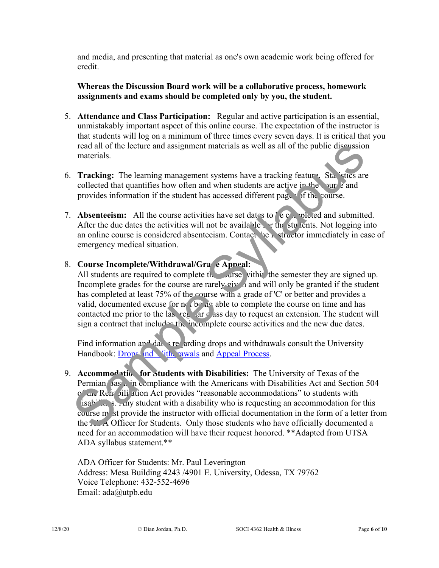and media, and presenting that material as one's own academic work being offered for credit.

#### **Whereas the Discussion Board work will be a collaborative process, homework assignments and exams should be completed only by you, the student.**

- 5. **Attendance and Class Participation:** Regular and active participation is an essential, unmistakably important aspect of this online course. The expectation of the instructor is that students will log on a minimum of three times every seven days. It is critical that you read all of the lecture and assignment materials as well as all of the public discussion materials.
- 6. **Tracking:** The learning management systems have a tracking feature. Stanistics are collected that quantifies how often and when students are active in the course and provides information if the student has accessed different pages of the course.
- 7. **Absenteeism:** All the course activities have set dates to  $\int e \, e \, dx$  pleted and submitted. After the due dates the activities will not be available for the students. Not logging into an online course is considered absenteeism. Contact he instructor immediately in case of emergency medical situation.

#### 8. Course Incomplete/Withdrawal/Grade Appeal:

All students are required to complete the cause within the semester they are signed up. Incomplete grades for the course are rarely given and will only be granted if the student has completed at least 75% of the course with a grade of 'C' or better and provides a valid, documented excuse for  $\eta$ . being able to complete the course on time and has contacted me prior to the last regular class day to request an extension. The student will sign a contract that includes the incomplete course activities and the new due dates.

Find information and dates regarding drops and withdrawals consult the University Handbook: Drops and Vith Fawals and Appeal Process.

9. **Accommodation for Students with Disabilities:** The University of Texas of the Permian Basin in compliance with the Americans with Disabilities Act and Section 504 of the Rehabilit ation Act provides "reasonable accommodations" to students with  $i$ s. Any student with a disability who is requesting an accommodation for this course  $m<sub>l</sub>$  ist provide the instructor with official documentation in the form of a letter from the  $\Lambda$   $\Lambda$  Officer for Students. Only those students who have officially documented a need for an accommodation will have their request honored. \*\*Adapted from UTSA ADA syllabus statement.\*\* read all of the lecture and assignment materials as well as all of the public discussion<br>
materials.<br>
Tracking: The learning management systems have a tracking feature. Statistics are<br>
collected that quantifies how often

ADA Officer for Students: Mr. Paul Leverington Address: Mesa Building 4243 /4901 E. University, Odessa, TX 79762 Voice Telephone: 432-552-4696 Email: ada@utpb.edu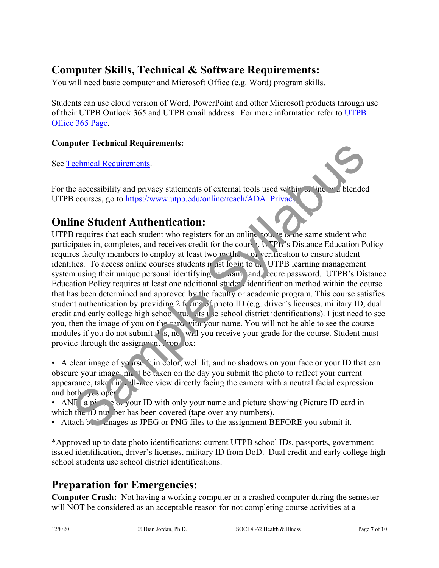## **Computer Skills, Technical & Software Requirements:**

You will need basic computer and Microsoft Office (e.g. Word) program skills.

Students can use cloud version of Word, PowerPoint and other Microsoft products through use of their UTPB Outlook 365 and UTPB email address. For more information refer to UTPB Office 365 Page.

#### **Computer Technical Requirements:**

See Technical Requirements.

For the accessibility and privacy statements of external tools used within  $\sim$  line and blended UTPB courses, go to https://www.utpb.edu/online/reach/ADA\_Privacy.

### **Online Student Authentication:**

UTPB requires that each student who registers for an online course is the same student who participates in, completes, and receives credit for the course. UTPB's Distance Education Policy requires faculty members to employ at least two methods of verification to ensure student identities. To access online courses students  $m$  ast login to  $m$ . UTPB learning management system using their unique personal identifying we hall and secure password. UTPB's Distance Education Policy requires at least one additional studer identification method within the course that has been determined and approved by the faculty or academic program. This course satisfies student authentication by providing 2 forms of photo ID (e.g. driver's licenses, military ID, dual credit and early college high school tudents use school district identifications). I just need to see you, then the image of you on the card with your name. You will not be able to see the course modules if you do not submit  $t^*$  s, no will you receive your grade for the course. Student must provide through the assignment  $\text{top}$  ox: pluter retunieal Requirements:<br>
cehnical Requirements.<br>
inconsisting and privacy statements of external tools used within the statements<br>
inconsists, go to https://www.tupb.edu/online/reach/ADA Privacy.<br>
inconsists, go to

• A clear image of yourselft in color, well lit, and no shadows on your face or your ID that can obscure your image,  $m_{\nu}$  t be taken on the day you submit the photo to reflect your current appearance, take in Full-face view directly facing the camera with a neutral facial expression and both  $\sim$  y  $\sim$  open.

- AND, a picture of your ID with only your name and picture showing (Picture ID card in which the  $1D$  numbers).
- Attach  $b_{\text{max}}$  images as JPEG or PNG files to the assignment BEFORE you submit it.

\*Approved up to date photo identifications: current UTPB school IDs, passports, government issued identification, driver's licenses, military ID from DoD. Dual credit and early college high school students use school district identifications.

### **Preparation for Emergencies:**

**Computer Crash:** Not having a working computer or a crashed computer during the semester will NOT be considered as an acceptable reason for not completing course activities at a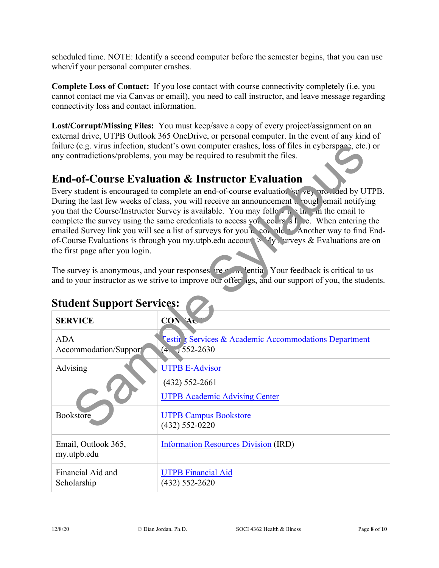scheduled time. NOTE: Identify a second computer before the semester begins, that you can use when/if your personal computer crashes.

**Complete Loss of Contact:** If you lose contact with course connectivity completely (i.e. you cannot contact me via Canvas or email), you need to call instructor, and leave message regarding connectivity loss and contact information.

**Lost/Corrupt/Missing Files:** You must keep/save a copy of every project/assignment on an external drive, UTPB Outlook 365 OneDrive, or personal computer. In the event of any kind of failure (e.g. virus infection, student's own computer crashes, loss of files in cyberspace, etc.) or any contradictions/problems, you may be required to resubmit the files.

### **End-of-Course Evaluation & Instructor Evaluation**

|                                                                                                                                                                                                                                          | failure (e.g. virus infection, student's own computer crashes, loss of files in cyberspace, etc.) or<br>any contradictions/problems, you may be required to resubmit the files.                                                                                                                                                                                                                                                                                                                                                                                                                                             |  |  |  |
|------------------------------------------------------------------------------------------------------------------------------------------------------------------------------------------------------------------------------------------|-----------------------------------------------------------------------------------------------------------------------------------------------------------------------------------------------------------------------------------------------------------------------------------------------------------------------------------------------------------------------------------------------------------------------------------------------------------------------------------------------------------------------------------------------------------------------------------------------------------------------------|--|--|--|
|                                                                                                                                                                                                                                          | <b>End-of-Course Evaluation &amp; Instructor Evaluation</b>                                                                                                                                                                                                                                                                                                                                                                                                                                                                                                                                                                 |  |  |  |
| the first page after you login.                                                                                                                                                                                                          | Every student is encouraged to complete an end-of-course evaluation survey are lied by UTPB.<br>During the last few weeks of class, you will receive an announcement a rough email notifying<br>you that the Course/Instructor Survey is available. You may follow $\mathbf{u} \cdot \mathbf{h}$ in the email to<br>complete the survey using the same credentials to access you cours s h e. When entering the<br>emailed Survey link you will see a list of surveys for you we could be Another way to find End-<br>of-Course Evaluations is through you my utpb.edu accour $\geq$ $\sqrt{y}$ rrveys & Evaluations are on |  |  |  |
| The survey is anonymous, and your responses reed and entirely Your feedback is critical to us<br>and to your instructor as we strive to improve our offeriags, and our support of you, the students.<br><b>Student Support Services:</b> |                                                                                                                                                                                                                                                                                                                                                                                                                                                                                                                                                                                                                             |  |  |  |
| <b>SERVICE</b>                                                                                                                                                                                                                           | CON <sup>7</sup> A                                                                                                                                                                                                                                                                                                                                                                                                                                                                                                                                                                                                          |  |  |  |
| <b>ADA</b><br>Accommodation/Support                                                                                                                                                                                                      | <b>Testin</b> Services & Academic Accommodations Department<br>$(4.7552 - 2630)$                                                                                                                                                                                                                                                                                                                                                                                                                                                                                                                                            |  |  |  |
| Advising                                                                                                                                                                                                                                 | <b>UTPB E-Advisor</b>                                                                                                                                                                                                                                                                                                                                                                                                                                                                                                                                                                                                       |  |  |  |
|                                                                                                                                                                                                                                          | $(432) 552 - 2661$<br><b>UTPB Academic Advising Center</b>                                                                                                                                                                                                                                                                                                                                                                                                                                                                                                                                                                  |  |  |  |
| Bookstore                                                                                                                                                                                                                                | <b>UTPB Campus Bookstore</b><br>$(432) 552 - 0220$                                                                                                                                                                                                                                                                                                                                                                                                                                                                                                                                                                          |  |  |  |
| Email, Outlook 365,<br>my.utpb.edu                                                                                                                                                                                                       | <b>Information Resources Division (IRD)</b>                                                                                                                                                                                                                                                                                                                                                                                                                                                                                                                                                                                 |  |  |  |
| Financial Aid and<br>Scholarship                                                                                                                                                                                                         | <b>UTPB Financial Aid</b><br>$(432) 552 - 2620$                                                                                                                                                                                                                                                                                                                                                                                                                                                                                                                                                                             |  |  |  |

# **Student Support Services:**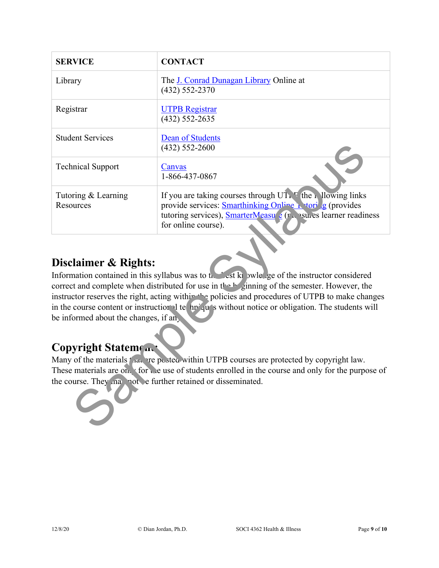| <b>SERVICE</b>                                                                                                                                                                                                                                                                                                                                                                                                                                                                                                                                                                                                                                                                                                                                                         | <b>CONTACT</b>                                                                                                                                                                                                    |  |  |
|------------------------------------------------------------------------------------------------------------------------------------------------------------------------------------------------------------------------------------------------------------------------------------------------------------------------------------------------------------------------------------------------------------------------------------------------------------------------------------------------------------------------------------------------------------------------------------------------------------------------------------------------------------------------------------------------------------------------------------------------------------------------|-------------------------------------------------------------------------------------------------------------------------------------------------------------------------------------------------------------------|--|--|
| Library                                                                                                                                                                                                                                                                                                                                                                                                                                                                                                                                                                                                                                                                                                                                                                | The J. Conrad Dunagan Library Online at<br>$(432) 552 - 2370$                                                                                                                                                     |  |  |
| Registrar                                                                                                                                                                                                                                                                                                                                                                                                                                                                                                                                                                                                                                                                                                                                                              | <b>UTPB Registrar</b><br>$(432) 552 - 2635$                                                                                                                                                                       |  |  |
| <b>Student Services</b>                                                                                                                                                                                                                                                                                                                                                                                                                                                                                                                                                                                                                                                                                                                                                | <b>Dean of Students</b><br>$(432) 552 - 2600$                                                                                                                                                                     |  |  |
| <b>Technical Support</b>                                                                                                                                                                                                                                                                                                                                                                                                                                                                                                                                                                                                                                                                                                                                               | Canvas<br>1-866-437-0867                                                                                                                                                                                          |  |  |
| Tutoring & Learning<br>Resources                                                                                                                                                                                                                                                                                                                                                                                                                                                                                                                                                                                                                                                                                                                                       | If you are taking courses through $UTT$ the Mullowing links<br>provide services: Smarthinking Online \ \tori g (provides<br>tutoring services), SmarterMeasu e (r. sules learner readiness<br>for online course). |  |  |
| Disclaimer & Rights:<br>Information contained in this syllabus was to the est kp wleege of the instructor considered<br>correct and complete when distributed for use in the h ginning of the semester. However, the<br>instructor reserves the right, acting within the policies and procedures of UTPB to make changes<br>in the course content or instruction of te hn qu's without notice or obligation. The students will<br>be informed about the changes, if an<br><b>Copyright Statement</b><br>Many of the materials fault reposted within UTPB courses are protected by copyright law.<br>These materials are on x for the use of students enrolled in the course and only for the purpose of<br>the course. They na not e further retained or disseminated. |                                                                                                                                                                                                                   |  |  |

### **Disclaimer & Rights:**

### **Copyright Statement:**